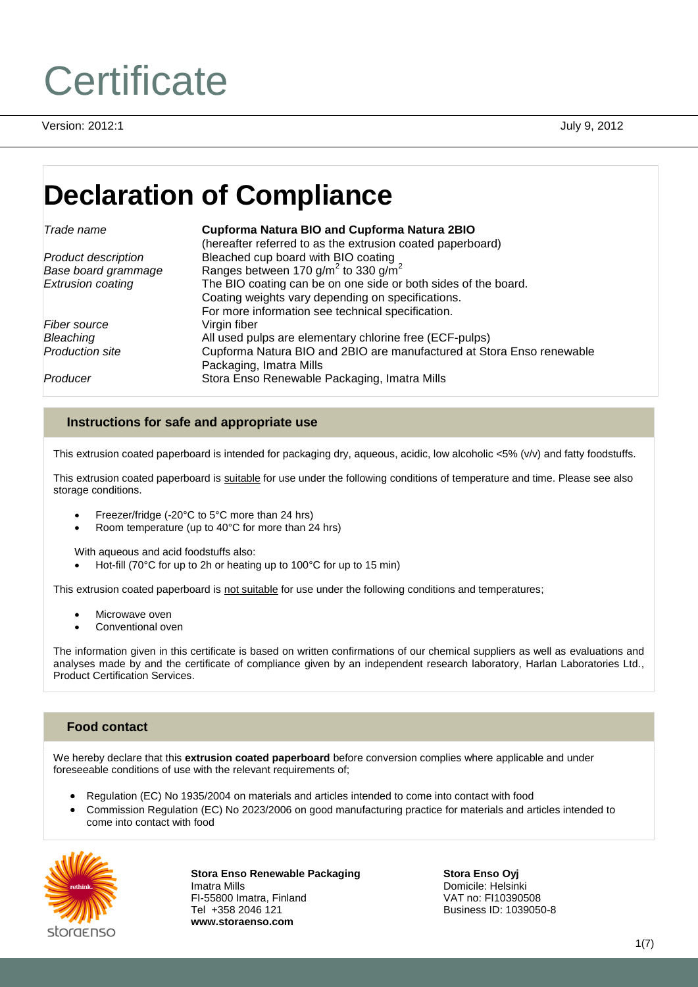# **Certificate**

Version: 2012:1 July 9, 2012

# **Declaration of Compliance**

#### *Trade name* **Cupforma Natura BIO and Cupforma Natura 2BIO**

|                            | (hereafter referred to as the extrusion coated paperboard)            |
|----------------------------|-----------------------------------------------------------------------|
| <b>Product description</b> | Bleached cup board with BIO coating                                   |
| Base board grammage        | Ranges between 170 g/m <sup>2</sup> to 330 g/m <sup>2</sup>           |
| <b>Extrusion coating</b>   | The BIO coating can be on one side or both sides of the board.        |
|                            | Coating weights vary depending on specifications.                     |
|                            | For more information see technical specification.                     |
| Fiber source               | Virgin fiber                                                          |
| Bleaching                  | All used pulps are elementary chlorine free (ECF-pulps)               |
| <b>Production site</b>     | Cupforma Natura BIO and 2BIO are manufactured at Stora Enso renewable |
|                            | Packaging, Imatra Mills                                               |
| Producer                   | Stora Enso Renewable Packaging, Imatra Mills                          |

# **Instructions for safe and appropriate use**

This extrusion coated paperboard is intended for packaging dry, aqueous, acidic, low alcoholic <5% (v/v) and fatty foodstuffs.

This extrusion coated paperboard is suitable for use under the following conditions of temperature and time. Please see also storage conditions.

- Freezer/fridge (-20°C to 5°C more than 24 hrs)
- Room temperature (up to 40°C for more than 24 hrs)

With aqueous and acid foodstuffs also:

Hot-fill (70°C for up to 2h or heating up to 100°C for up to 15 min)

This extrusion coated paperboard is not suitable for use under the following conditions and temperatures;

- Microwave oven
- Conventional oven

The information given in this certificate is based on written confirmations of our chemical suppliers as well as evaluations and analyses made by and the certificate of compliance given by an independent research laboratory, Harlan Laboratories Ltd., Product Certification Services.

# **Food contact**

We hereby declare that this **extrusion coated paperboard** before conversion complies where applicable and under foreseeable conditions of use with the relevant requirements of;

- Regulation (EC) No 1935/2004 on materials and articles intended to come into contact with food
- Commission Regulation (EC) No 2023/2006 on good manufacturing practice for materials and articles intended to come into contact with food



**Stora Enso Renewable Packaging** Imatra Mills FI-55800 Imatra, Finland Tel +358 2046 121 **www.storaenso.com**

**Stora Enso Oyj** Domicile: Helsinki VAT no: FI10390508 Business ID: 1039050-8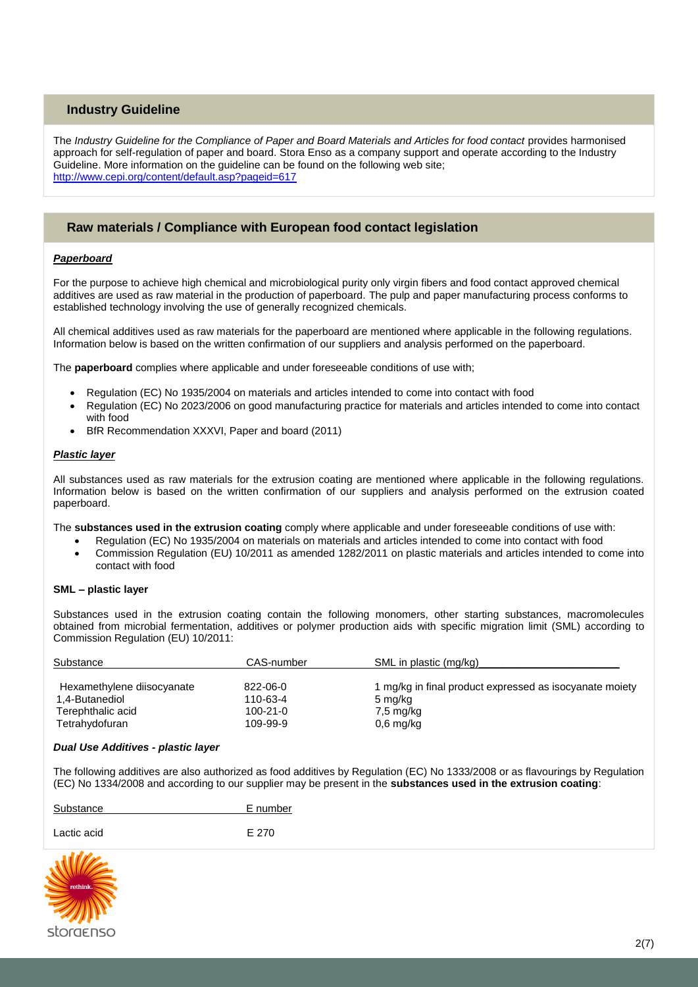# **Industry Guideline**

The *Industry Guideline for the Compliance of Paper and Board Materials and Articles for food contact* provides harmonised approach for self-regulation of paper and board. Stora Enso as a company support and operate according to the Industry Guideline. More information on the guideline can be found on the following web site; <http://www.cepi.org/content/default.asp?pageid=617>

# **Raw materials / Compliance with European food contact legislation**

#### *Paperboard*

For the purpose to achieve high chemical and microbiological purity only virgin fibers and food contact approved chemical additives are used as raw material in the production of paperboard. The pulp and paper manufacturing process conforms to established technology involving the use of generally recognized chemicals.

All chemical additives used as raw materials for the paperboard are mentioned where applicable in the following regulations. Information below is based on the written confirmation of our suppliers and analysis performed on the paperboard.

The **paperboard** complies where applicable and under foreseeable conditions of use with;

- Regulation (EC) No 1935/2004 on materials and articles intended to come into contact with food
- Regulation (EC) No 2023/2006 on good manufacturing practice for materials and articles intended to come into contact with food
- BfR Recommendation XXXVI, Paper and board (2011)

#### *Plastic layer*

All substances used as raw materials for the extrusion coating are mentioned where applicable in the following regulations. Information below is based on the written confirmation of our suppliers and analysis performed on the extrusion coated paperboard.

The **substances used in the extrusion coating** comply where applicable and under foreseeable conditions of use with:

- Regulation (EC) No 1935/2004 on materials on materials and articles intended to come into contact with food
- Commission Regulation (EU) 10/2011 as amended 1282/2011 on plastic materials and articles intended to come into contact with food

#### **SML – plastic layer**

Substances used in the extrusion coating contain the following monomers, other starting substances, macromolecules obtained from microbial fermentation, additives or polymer production aids with specific migration limit (SML) according to Commission Regulation (EU) 10/2011:

| Substance                  | CAS-number     | SML in plastic (mg/kg)                                  |
|----------------------------|----------------|---------------------------------------------------------|
| Hexamethylene diisocyanate | 822-06-0       | 1 mg/kg in final product expressed as isocyanate moiety |
| 1,4-Butanediol             | 110-63-4       | 5 mg/kg                                                 |
| Terephthalic acid          | $100 - 21 - 0$ | 7,5 mg/kg                                               |
| Tetrahydofuran             | 109-99-9       | $0,6$ mg/kg                                             |

#### *Dual Use Additives - plastic layer*

The following additives are also authorized as food additives by Regulation (EC) No 1333/2008 or as flavourings by Regulation (EC) No 1334/2008 and according to our supplier may be present in the **substances used in the extrusion coating**:

| Substance   | E number |
|-------------|----------|
| Lactic acid | E 270    |

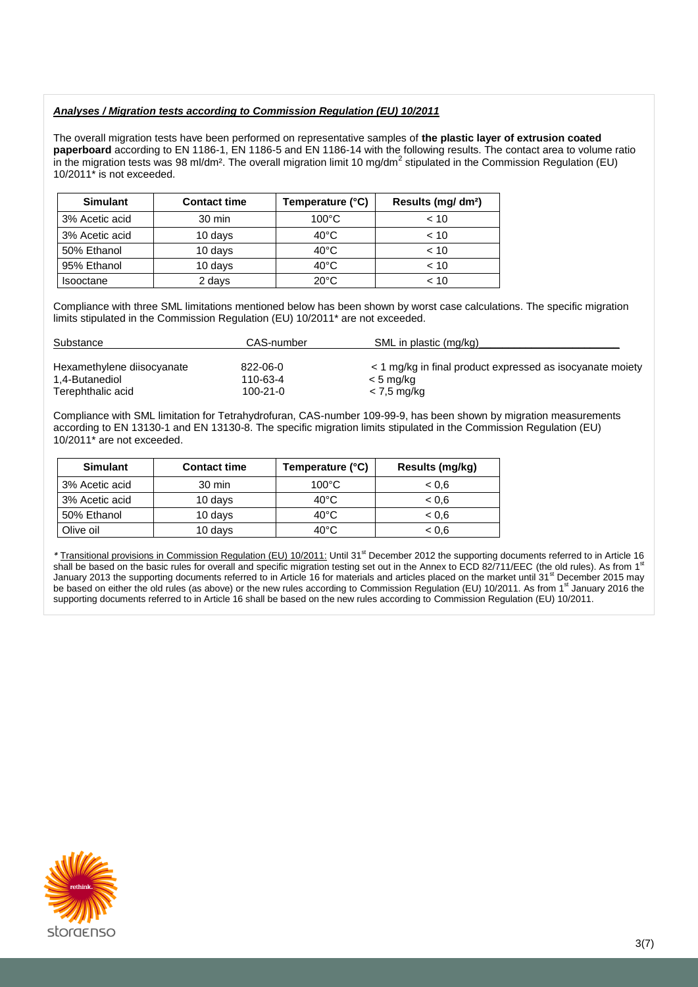#### *Analyses / Migration tests according to Commission Regulation (EU) 10/2011*

The overall migration tests have been performed on representative samples of **the plastic layer of extrusion coated paperboard** according to EN 1186-1, EN 1186-5 and EN 1186-14 with the following results. The contact area to volume ratio in the migration tests was 98 ml/dm<sup>2</sup>. The overall migration limit 10 mg/dm<sup>2</sup> stipulated in the Commission Regulation (EU) 10/2011\* is not exceeded.

| <b>Simulant</b>  | <b>Contact time</b> | Temperature (°C) | Results (mg/ dm <sup>2</sup> ) |
|------------------|---------------------|------------------|--------------------------------|
| 3% Acetic acid   | $30 \text{ min}$    | $100^{\circ}$ C  | < 10                           |
| 3% Acetic acid   | 10 days             | $40^{\circ}$ C   | < 10                           |
| 50% Ethanol      | 10 days             | $40^{\circ}$ C   | < 10                           |
| 95% Ethanol      | 10 days             | $40^{\circ}$ C   | ~10                            |
| <b>Isooctane</b> | 2 days              | $20^{\circ}$ C   | < 10                           |

Compliance with three SML limitations mentioned below has been shown by worst case calculations. The specific migration limits stipulated in the Commission Regulation (EU) 10/2011\* are not exceeded.

| Substance                  | CAS-number | SML in plastic (mg/kg)                                    |
|----------------------------|------------|-----------------------------------------------------------|
| Hexamethylene diisocyanate | 822-06-0   | < 1 mg/kg in final product expressed as isocyanate moiety |
| 1.4-Butanediol             | 110-63-4   | < 5 mg/kg                                                 |
| Terephthalic acid          | 100-21-0   | < 7.5 mg/kg                                               |

Compliance with SML limitation for Tetrahydrofuran, CAS-number 109-99-9, has been shown by migration measurements according to EN 13130-1 and EN 13130-8. The specific migration limits stipulated in the Commission Regulation (EU) 10/2011\* are not exceeded.

| <b>Simulant</b> | <b>Contact time</b> | Temperature (°C) | Results (mg/kg) |
|-----------------|---------------------|------------------|-----------------|
| 3% Acetic acid  | 30 min              | $100^{\circ}$ C  | 0.6             |
| 3% Acetic acid  | 10 days             | $40^{\circ}$ C   | 0.6             |
| 50% Ethanol     | 10 days             | $40^{\circ}$ C   | 0.6             |
| Olive oil       | 10 days             | $40^{\circ}$ C   | < 0.6           |

*\** Transitional provisions in Commission Regulation (EU) 10/2011: Until 31st December 2012 the supporting documents referred to in Article 16 shall be based on the basic rules for overall and specific migration testing set out in the Annex to ECD 82/711/EEC (the old rules). As from 1<sup>s</sup> January 2013 the supporting documents referred to in Article 16 for materials and articles placed on the market until 31<sup>st</sup> December 2015 may be based on either the old rules (as above) or the new rules according to Commission Regulation (EU) 10/2011. As from 1<sup>st</sup> January 2016 the supporting documents referred to in Article 16 shall be based on the new rules according to Commission Regulation (EU) 10/2011.

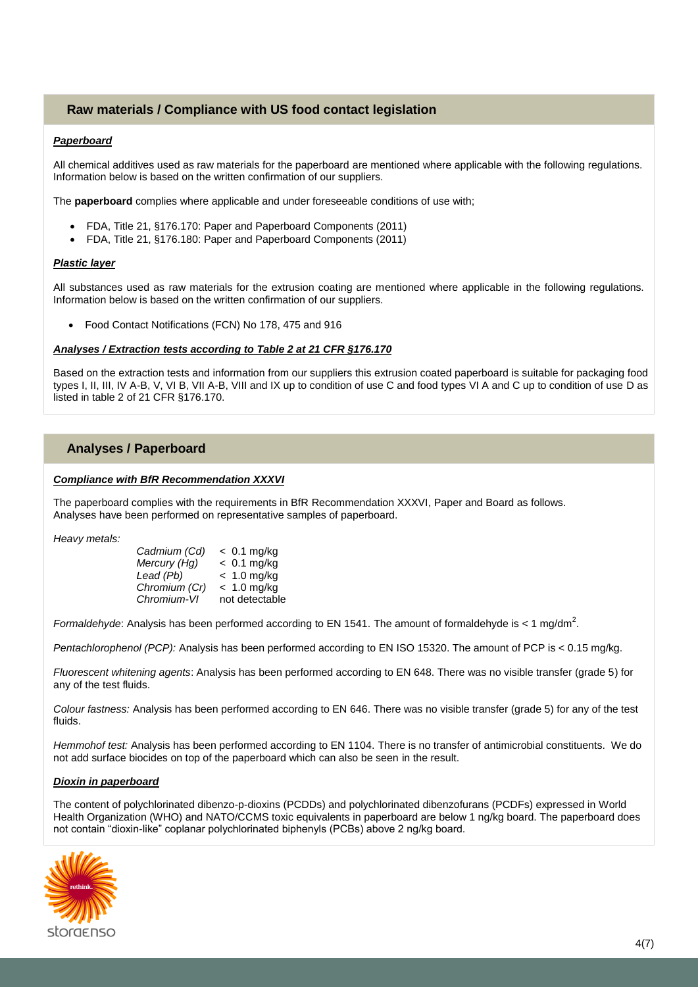# **Raw materials / Compliance with US food contact legislation**

#### *Paperboard*

All chemical additives used as raw materials for the paperboard are mentioned where applicable with the following regulations. Information below is based on the written confirmation of our suppliers.

The **paperboard** complies where applicable and under foreseeable conditions of use with;

- FDA, Title 21, §176.170: Paper and Paperboard Components (2011)
- FDA, Title 21, §176.180: Paper and Paperboard Components (2011)

#### *Plastic layer*

All substances used as raw materials for the extrusion coating are mentioned where applicable in the following regulations. Information below is based on the written confirmation of our suppliers.

Food Contact Notifications (FCN) No 178, 475 and 916

#### *Analyses / Extraction tests according to Table 2 at 21 CFR §176.170*

Based on the extraction tests and information from our suppliers this extrusion coated paperboard is suitable for packaging food types I, II, III, IV A-B, V, VI B, VII A-B, VIII and IX up to condition of use C and food types VI A and C up to condition of use D as listed in table 2 of 21 CFR §176.170.

# **Analyses / Paperboard**

#### *Compliance with BfR Recommendation XXXVI*

The paperboard complies with the requirements in BfR Recommendation XXXVI, Paper and Board as follows. Analyses have been performed on representative samples of paperboard.

*Heavy metals:*

| Cadmium (Cd)  | $< 0.1$ mg/kg  |
|---------------|----------------|
| Mercury (Hg)  | $< 0.1$ mg/kg  |
| Lead (Pb)     | $< 1.0$ mg/kg  |
| Chromium (Cr) | $< 1.0$ mg/kg  |
| Chromium-VI   | not detectable |
|               |                |

Formaldehyde: Analysis has been performed according to EN 1541. The amount of formaldehyde is < 1 mg/dm<sup>2</sup>.

*Pentachlorophenol (PCP):* Analysis has been performed according to EN ISO 15320. The amount of PCP is < 0.15 mg/kg.

*Fluorescent whitening agents*: Analysis has been performed according to EN 648. There was no visible transfer (grade 5) for any of the test fluids.

*Colour fastness:* Analysis has been performed according to EN 646. There was no visible transfer (grade 5) for any of the test fluids.

*Hemmohof test:* Analysis has been performed according to EN 1104. There is no transfer of antimicrobial constituents. We do not add surface biocides on top of the paperboard which can also be seen in the result.

#### *Dioxin in paperboard*

The content of polychlorinated dibenzo-p-dioxins (PCDDs) and polychlorinated dibenzofurans (PCDFs) expressed in World Health Organization (WHO) and NATO/CCMS toxic equivalents in paperboard are below 1 ng/kg board. The paperboard does not contain "dioxin-like" coplanar polychlorinated biphenyls (PCBs) above 2 ng/kg board.

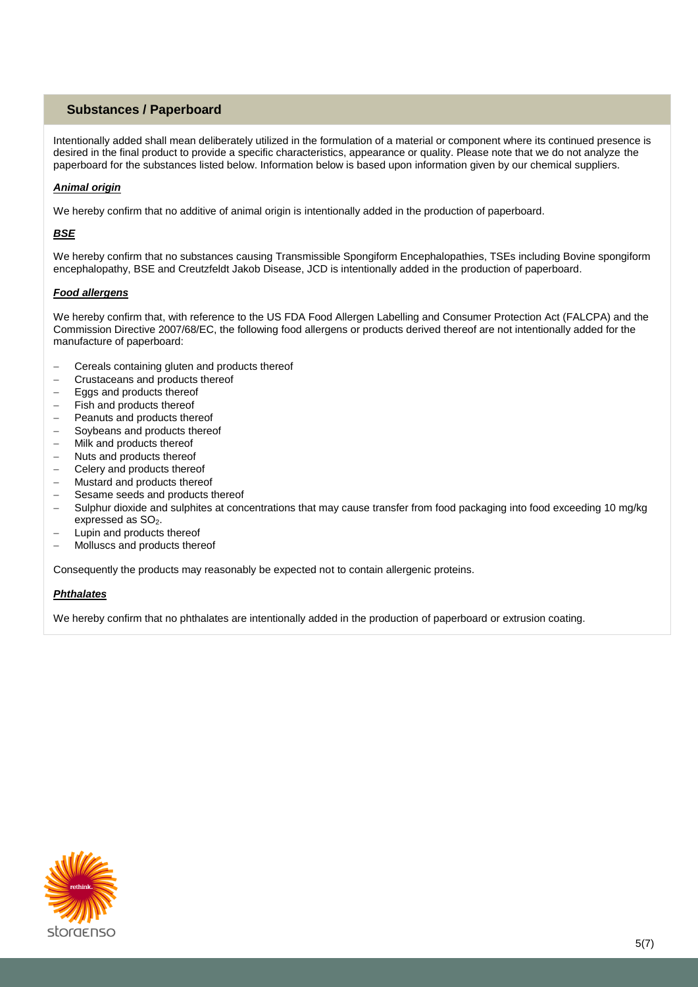# **Substances / Paperboard**

Intentionally added shall mean deliberately utilized in the formulation of a material or component where its continued presence is desired in the final product to provide a specific characteristics, appearance or quality. Please note that we do not analyze the paperboard for the substances listed below. Information below is based upon information given by our chemical suppliers.

# *Animal origin*

We hereby confirm that no additive of animal origin is intentionally added in the production of paperboard.

### *BSE*

We hereby confirm that no substances causing Transmissible Spongiform Encephalopathies, TSEs including Bovine spongiform encephalopathy, BSE and Creutzfeldt Jakob Disease, JCD is intentionally added in the production of paperboard.

#### *Food allergens*

We hereby confirm that, with reference to the US FDA Food Allergen Labelling and Consumer Protection Act (FALCPA) and the Commission Directive 2007/68/EC, the following food allergens or products derived thereof are not intentionally added for the manufacture of paperboard:

- Cereals containing gluten and products thereof
- Crustaceans and products thereof
- Eggs and products thereof
- Fish and products thereof
- Peanuts and products thereof
- Soybeans and products thereof
- Milk and products thereof
- Nuts and products thereof
- Celery and products thereof
- Mustard and products thereof
- Sesame seeds and products thereof
- Sulphur dioxide and sulphites at concentrations that may cause transfer from food packaging into food exceeding 10 mg/kg expressed as SO<sub>2</sub>.
- Lupin and products thereof
- Molluscs and products thereof

Consequently the products may reasonably be expected not to contain allergenic proteins.

#### *Phthalates*

We hereby confirm that no phthalates are intentionally added in the production of paperboard or extrusion coating.

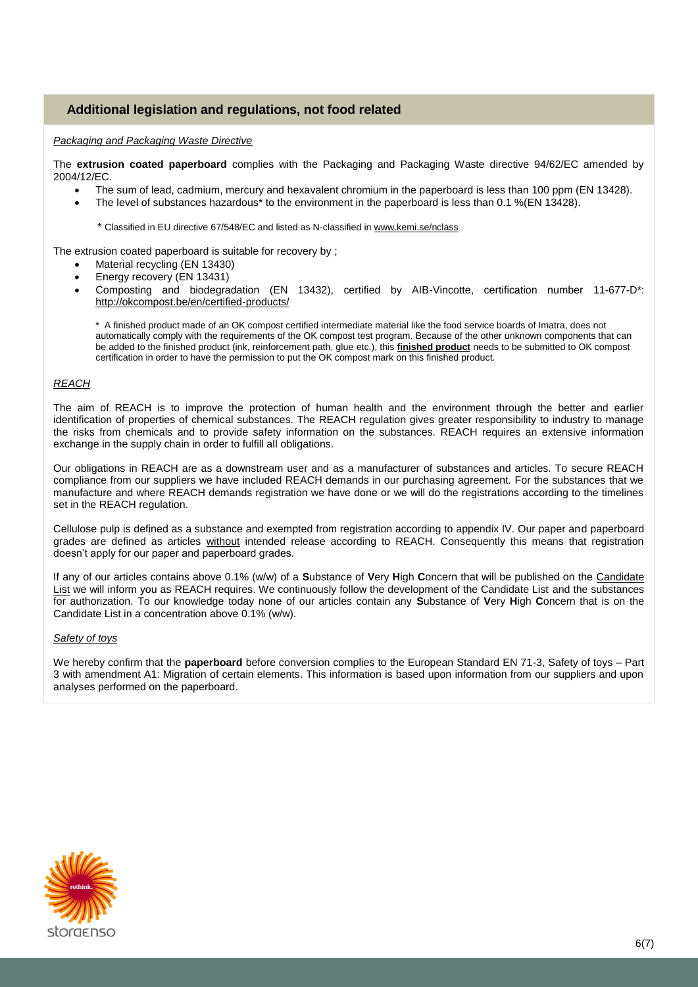# **Additional legislation and regulations, not food related**

#### *Packaging and Packaging Waste Directive*

The **extrusion coated paperboard** complies with the Packaging and Packaging Waste directive 94/62/EC amended by 2004/12/EC.

- The sum of lead, cadmium, mercury and hexavalent chromium in the paperboard is less than 100 ppm (EN 13428).
- The level of substances hazardous\* to the environment in the paperboard is less than 0.1 %(EN 13428).

\* Classified in EU directive 67/548/EC and listed as N-classified in [www.kemi.se/nclass](http://www.kemi.se/nclass)

The extrusion coated paperboard is suitable for recovery by ;

- Material recycling (EN 13430)
- Energy recovery (EN 13431)
- Composting and biodegradation (EN 13432), certified by AIB-Vincotte, certification number 11-677-D\*: <http://okcompost.be/en/certified-products/>

\* A finished product made of an OK compost certified intermediate material like the food service boards of Imatra, does not automatically comply with the requirements of the OK compost test program. Because of the other unknown components that can be added to the finished product (ink, reinforcement path, glue etc.), this **finished product** needs to be submitted to OK compost certification in order to have the permission to put the OK compost mark on this finished product.

#### *REACH*

The aim of REACH is to improve the protection of human health and the environment through the better and earlier identification of properties of chemical substances. The REACH regulation gives greater responsibility to industry to manage the risks from chemicals and to provide safety information on the substances. REACH requires an extensive information exchange in the supply chain in order to fulfill all obligations.

Our obligations in REACH are as a downstream user and as a manufacturer of substances and articles. To secure REACH compliance from our suppliers we have included REACH demands in our purchasing agreement. For the substances that we manufacture and where REACH demands registration we have done or we will do the registrations according to the timelines set in the REACH regulation.

Cellulose pulp is defined as a substance and exempted from registration according to appendix IV. Our paper and paperboard grades are defined as articles without intended release according to REACH. Consequently this means that registration doesn't apply for our paper and paperboard grades.

If any of our articles contains above 0.1% (w/w) of a **S**ubstance of **V**ery **H**igh **C**oncern that will be published on the [Candidate](http://echa.europa.eu/chem_data/authorisation_process/candidate_list_table_en.asp)  [List](http://echa.europa.eu/chem_data/authorisation_process/candidate_list_table_en.asp) we will inform you as REACH requires. We continuously follow the development of the Candidate List and the substances for authorization. To our knowledge today none of our articles contain any **S**ubstance of **V**ery **H**igh **C**oncern that is on the Candidate List in a concentration above 0.1% (w/w).

#### *Safety of toys*

We hereby confirm that the **paperboard** before conversion complies to the European Standard EN 71-3, Safety of toys – Part 3 with amendment A1: Migration of certain elements. This information is based upon information from our suppliers and upon analyses performed on the paperboard.